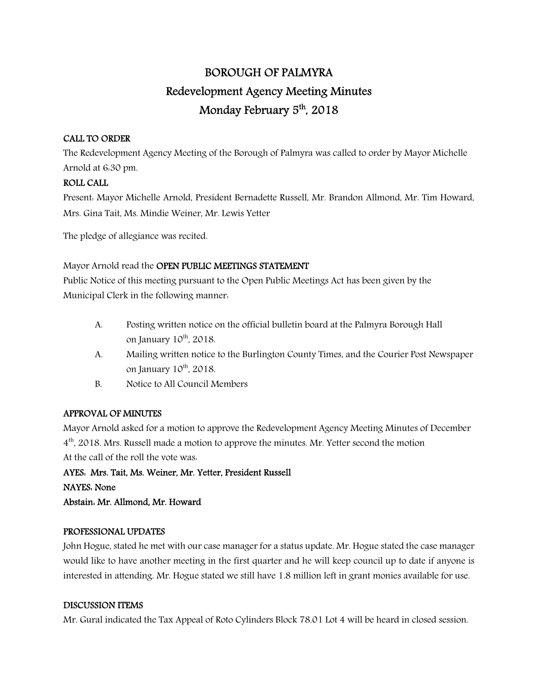# BOROUGH OF PALMYRA Redevelopment Agency Meeting Minutes Monday February 5<sup>th</sup>, 2018

## CALL TO ORDER

The Redevelopment Agency Meeting of the Borough of Palmyra was called to order by Mayor Michelle Arnold at 6:30 pm.

## ROLL CALL

Present: Mayor Michelle Arnold, President Bernadette Russell, Mr. Brandon Allmond, Mr. Tim Howard, Mrs. Gina Tait, Ms. Mindie Weiner, Mr. Lewis Yetter

The pledge of allegiance was recited.

Mayor Arnold read the OPEN PUBLIC MEETINGS STATEMENT

Public Notice of this meeting pursuant to the Open Public Meetings Act has been given by the Municipal Clerk in the following manner:

- A. Posting written notice on the official bulletin board at the Palmyra Borough Hall on January  $10^{th}$ , 2018.
- A. Mailing written notice to the Burlington County Times, and the Courier Post Newspaper on January  $10^{th}$ ,  $2018$ .
- B. Notice to All Council Members

## APPROVAL OF MINUTES

Mayor Arnold asked for a motion to approve the Redevelopment Agency Meeting Minutes of December 4<sup>th</sup>, 2018. Mrs. Russell made a motion to approve the minutes. Mr. Yetter second the motion At the call of the roll the vote was:

AYES: Mrs. Tait, Ms. Weiner, Mr. Yetter, President Russell NAYES: None Abstain: Mr. Allmond, Mr. Howard

#### PROFESSIONAL UPDATES

John Hogue, stated he met with our case manager for a status update. Mr. Hogue stated the case manager would like to have another meeting in the first quarter and he will keep council up to date if anyone is interested in attending. Mr. Hogue stated we still have 1.8 million left in grant monies available for use.

#### DISCUSSION ITEMS

Mr. Gural indicated the Tax Appeal of Roto Cylinders Block 78.01 Lot 4 will be heard in closed session.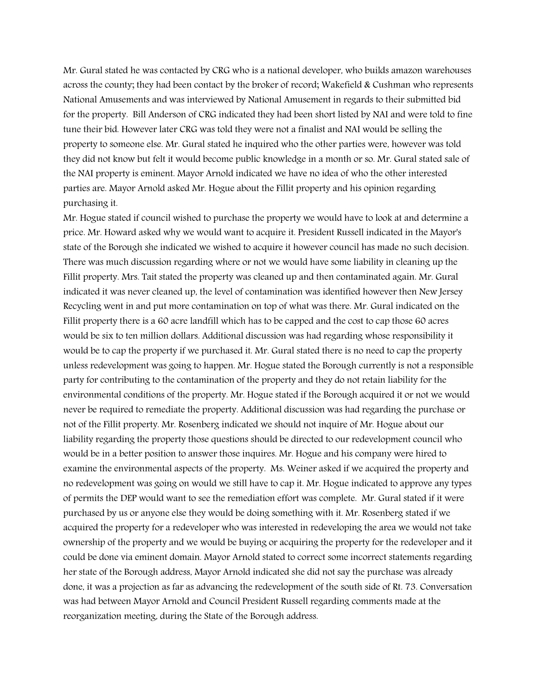Mr. Gural stated he was contacted by CRG who is a national developer, who builds amazon warehouses across the county; they had been contact by the broker of record; Wakefield & Cushman who represents National Amusements and was interviewed by National Amusement in regards to their submitted bid for the property. Bill Anderson of CRG indicated they had been short listed by NAI and were told to fine tune their bid. However later CRG was told they were not a finalist and NAI would be selling the property to someone else. Mr. Gural stated he inquired who the other parties were, however was told they did not know but felt it would become public knowledge in a month or so. Mr. Gural stated sale of the NAI property is eminent. Mayor Arnold indicated we have no idea of who the other interested parties are. Mayor Arnold asked Mr. Hogue about the Fillit property and his opinion regarding purchasing it.

Mr. Hogue stated if council wished to purchase the property we would have to look at and determine a price. Mr. Howard asked why we would want to acquire it. President Russell indicated in the Mayor's state of the Borough she indicated we wished to acquire it however council has made no such decision. There was much discussion regarding where or not we would have some liability in cleaning up the Fillit property. Mrs. Tait stated the property was cleaned up and then contaminated again. Mr. Gural indicated it was never cleaned up, the level of contamination was identified however then New Jersey Recycling went in and put more contamination on top of what was there. Mr. Gural indicated on the Fillit property there is a 60 acre landfill which has to be capped and the cost to cap those 60 acres would be six to ten million dollars. Additional discussion was had regarding whose responsibility it would be to cap the property if we purchased it. Mr. Gural stated there is no need to cap the property unless redevelopment was going to happen. Mr. Hogue stated the Borough currently is not a responsible party for contributing to the contamination of the property and they do not retain liability for the environmental conditions of the property. Mr. Hogue stated if the Borough acquired it or not we would never be required to remediate the property. Additional discussion was had regarding the purchase or not of the Fillit property. Mr. Rosenberg indicated we should not inquire of Mr. Hogue about our liability regarding the property those questions should be directed to our redevelopment council who would be in a better position to answer those inquires. Mr. Hogue and his company were hired to examine the environmental aspects of the property. Ms. Weiner asked if we acquired the property and no redevelopment was going on would we still have to cap it. Mr. Hogue indicated to approve any types of permits the DEP would want to see the remediation effort was complete. Mr. Gural stated if it were purchased by us or anyone else they would be doing something with it. Mr. Rosenberg stated if we acquired the property for a redeveloper who was interested in redeveloping the area we would not take ownership of the property and we would be buying or acquiring the property for the redeveloper and it could be done via eminent domain. Mayor Arnold stated to correct some incorrect statements regarding her state of the Borough address, Mayor Arnold indicated she did not say the purchase was already done, it was a projection as far as advancing the redevelopment of the south side of Rt. 73. Conversation was had between Mayor Arnold and Council President Russell regarding comments made at the reorganization meeting, during the State of the Borough address.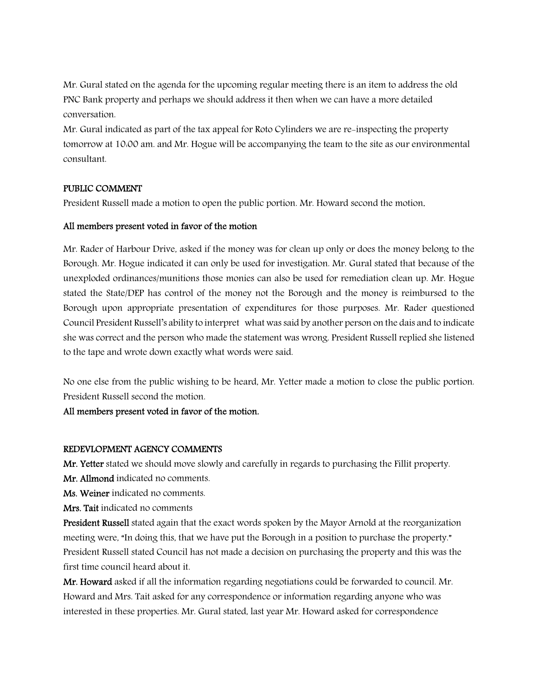Mr. Gural stated on the agenda for the upcoming regular meeting there is an item to address the old PNC Bank property and perhaps we should address it then when we can have a more detailed conversation.

Mr. Gural indicated as part of the tax appeal for Roto Cylinders we are re-inspecting the property tomorrow at 10:00 am. and Mr. Hogue will be accompanying the team to the site as our environmental consultant.

## PUBLIC COMMENT

President Russell made a motion to open the public portion. Mr. Howard second the motion.

#### All members present voted in favor of the motion

Mr. Rader of Harbour Drive, asked if the money was for clean up only or does the money belong to the Borough. Mr. Hogue indicated it can only be used for investigation. Mr. Gural stated that because of the unexploded ordinances/munitions those monies can also be used for remediation clean up. Mr. Hogue stated the State/DEP has control of the money not the Borough and the money is reimbursed to the Borough upon appropriate presentation of expenditures for those purposes. Mr. Rader questioned Council President Russell's ability to interpret what was said by another person on the dais and to indicate she was correct and the person who made the statement was wrong. President Russell replied she listened to the tape and wrote down exactly what words were said.

No one else from the public wishing to be heard, Mr. Yetter made a motion to close the public portion. President Russell second the motion.

All members present voted in favor of the motion.

## REDEVLOPMENT AGENCY COMMENTS

Mr. Yetter stated we should move slowly and carefully in regards to purchasing the Fillit property.

Mr. Allmond indicated no comments.

Ms. Weiner indicated no comments.

Mrs. Tait indicated no comments

President Russell stated again that the exact words spoken by the Mayor Arnold at the reorganization meeting were, "In doing this, that we have put the Borough in a position to purchase the property." President Russell stated Council has not made a decision on purchasing the property and this was the first time council heard about it.

Mr. Howard asked if all the information regarding negotiations could be forwarded to council. Mr. Howard and Mrs. Tait asked for any correspondence or information regarding anyone who was interested in these properties. Mr. Gural stated, last year Mr. Howard asked for correspondence